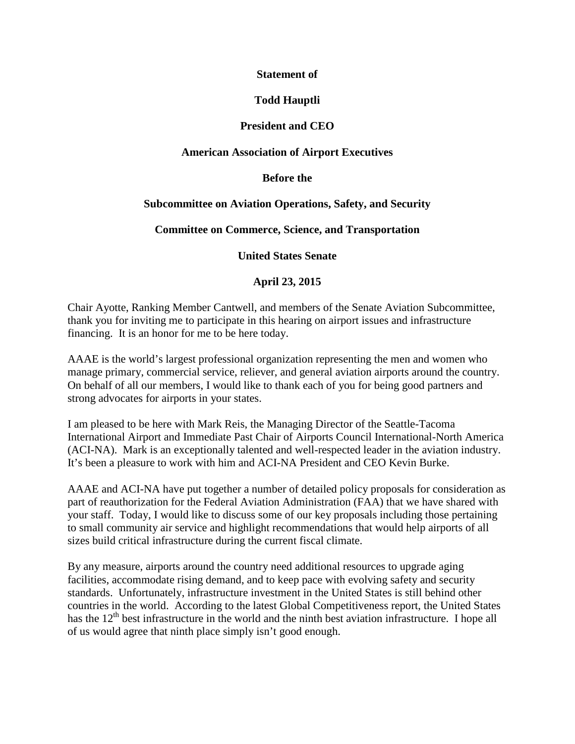### **Statement of**

### **Todd Hauptli**

### **President and CEO**

#### **American Association of Airport Executives**

#### **Before the**

### **Subcommittee on Aviation Operations, Safety, and Security**

#### **Committee on Commerce, Science, and Transportation**

**United States Senate**

### **April 23, 2015**

Chair Ayotte, Ranking Member Cantwell, and members of the Senate Aviation Subcommittee, thank you for inviting me to participate in this hearing on airport issues and infrastructure financing. It is an honor for me to be here today.

AAAE is the world's largest professional organization representing the men and women who manage primary, commercial service, reliever, and general aviation airports around the country. On behalf of all our members, I would like to thank each of you for being good partners and strong advocates for airports in your states.

I am pleased to be here with Mark Reis, the Managing Director of the Seattle-Tacoma International Airport and Immediate Past Chair of Airports Council International-North America (ACI-NA). Mark is an exceptionally talented and well-respected leader in the aviation industry. It's been a pleasure to work with him and ACI-NA President and CEO Kevin Burke.

AAAE and ACI-NA have put together a number of detailed policy proposals for consideration as part of reauthorization for the Federal Aviation Administration (FAA) that we have shared with your staff. Today, I would like to discuss some of our key proposals including those pertaining to small community air service and highlight recommendations that would help airports of all sizes build critical infrastructure during the current fiscal climate.

By any measure, airports around the country need additional resources to upgrade aging facilities, accommodate rising demand, and to keep pace with evolving safety and security standards. Unfortunately, infrastructure investment in the United States is still behind other countries in the world. According to the latest Global Competitiveness report, the United States has the  $12<sup>th</sup>$  best infrastructure in the world and the ninth best aviation infrastructure. I hope all of us would agree that ninth place simply isn't good enough.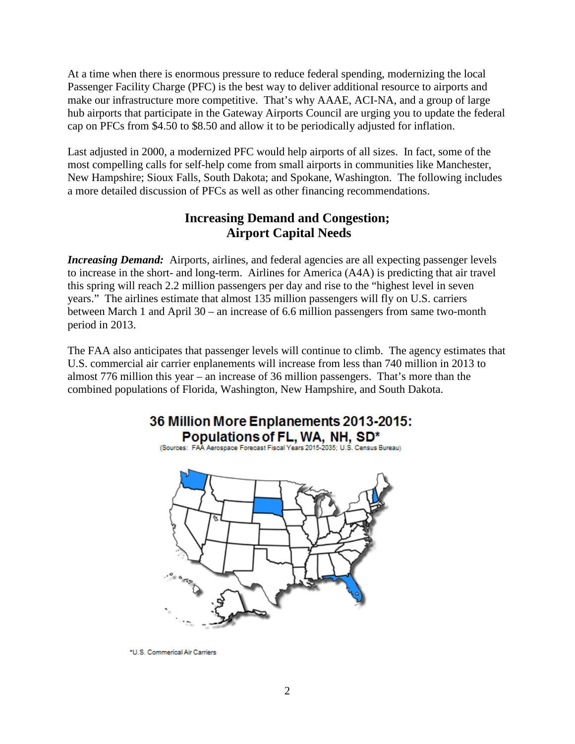At a time when there is enormous pressure to reduce federal spending, modernizing the local Passenger Facility Charge (PFC) is the best way to deliver additional resource to airports and make our infrastructure more competitive. That's why AAAE, ACI-NA, and a group of large hub airports that participate in the Gateway Airports Council are urging you to update the federal cap on PFCs from \$4.50 to \$8.50 and allow it to be periodically adjusted for inflation.

Last adjusted in 2000, a modernized PFC would help airports of all sizes. In fact, some of the most compelling calls for self-help come from small airports in communities like Manchester, New Hampshire; Sioux Falls, South Dakota; and Spokane, Washington. The following includes a more detailed discussion of PFCs as well as other financing recommendations.

# **Increasing Demand and Congestion; Airport Capital Needs**

*Increasing Demand:* Airports, airlines, and federal agencies are all expecting passenger levels to increase in the short- and long-term. Airlines for America (A4A) is predicting that air travel this spring will reach 2.2 million passengers per day and rise to the "highest level in seven years." The airlines estimate that almost 135 million passengers will fly on U.S. carriers between March 1 and April 30 – an increase of 6.6 million passengers from same two-month period in 2013.

The FAA also anticipates that passenger levels will continue to climb. The agency estimates that U.S. commercial air carrier enplanements will increase from less than 740 million in 2013 to almost 776 million this year – an increase of 36 million passengers. That's more than the combined populations of Florida, Washington, New Hampshire, and South Dakota.

# 36 Million More Enplanements 2013-2015: Populations of FL, WA, NH, SD\*

(Sources: FAA Aerospace Forecast Fiscal Years 2015-2035: U.S. Census Bureau)



\*U.S. Commerical Air Carriers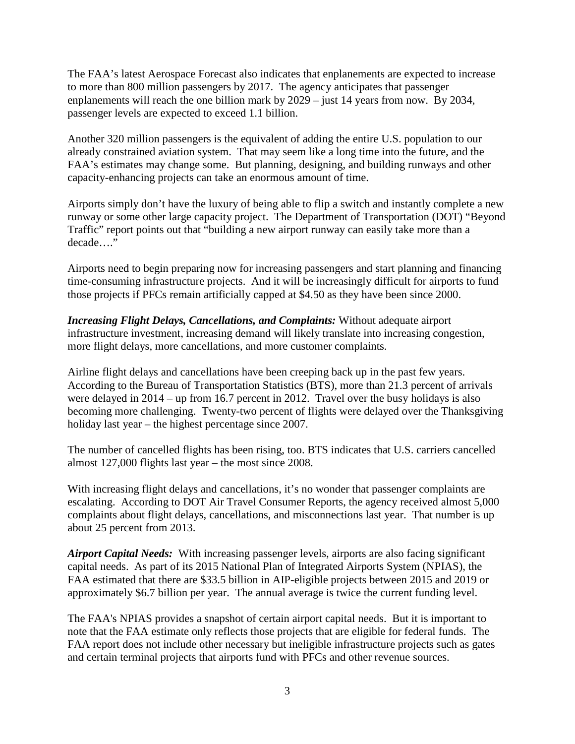The FAA's latest Aerospace Forecast also indicates that enplanements are expected to increase to more than 800 million passengers by 2017. The agency anticipates that passenger enplanements will reach the one billion mark by 2029 – just 14 years from now. By 2034, passenger levels are expected to exceed 1.1 billion.

Another 320 million passengers is the equivalent of adding the entire U.S. population to our already constrained aviation system. That may seem like a long time into the future, and the FAA's estimates may change some. But planning, designing, and building runways and other capacity-enhancing projects can take an enormous amount of time.

Airports simply don't have the luxury of being able to flip a switch and instantly complete a new runway or some other large capacity project. The Department of Transportation (DOT) "Beyond Traffic" report points out that "building a new airport runway can easily take more than a decade…."

Airports need to begin preparing now for increasing passengers and start planning and financing time-consuming infrastructure projects. And it will be increasingly difficult for airports to fund those projects if PFCs remain artificially capped at \$4.50 as they have been since 2000.

*Increasing Flight Delays, Cancellations, and Complaints:* Without adequate airport infrastructure investment, increasing demand will likely translate into increasing congestion, more flight delays, more cancellations, and more customer complaints.

Airline flight delays and cancellations have been creeping back up in the past few years. According to the Bureau of Transportation Statistics (BTS), more than 21.3 percent of arrivals were delayed in 2014 – up from 16.7 percent in 2012. Travel over the busy holidays is also becoming more challenging. Twenty-two percent of flights were delayed over the Thanksgiving holiday last year – the highest percentage since 2007.

The number of cancelled flights has been rising, too. BTS indicates that U.S. carriers cancelled almost 127,000 flights last year – the most since 2008.

With increasing flight delays and cancellations, it's no wonder that passenger complaints are escalating. According to DOT Air Travel Consumer Reports, the agency received almost 5,000 complaints about flight delays, cancellations, and misconnections last year. That number is up about 25 percent from 2013.

*Airport Capital Needs:* With increasing passenger levels, airports are also facing significant capital needs. As part of its 2015 National Plan of Integrated Airports System (NPIAS), the FAA estimated that there are \$33.5 billion in AIP-eligible projects between 2015 and 2019 or approximately \$6.7 billion per year. The annual average is twice the current funding level.

The FAA's NPIAS provides a snapshot of certain airport capital needs. But it is important to note that the FAA estimate only reflects those projects that are eligible for federal funds. The FAA report does not include other necessary but ineligible infrastructure projects such as gates and certain terminal projects that airports fund with PFCs and other revenue sources.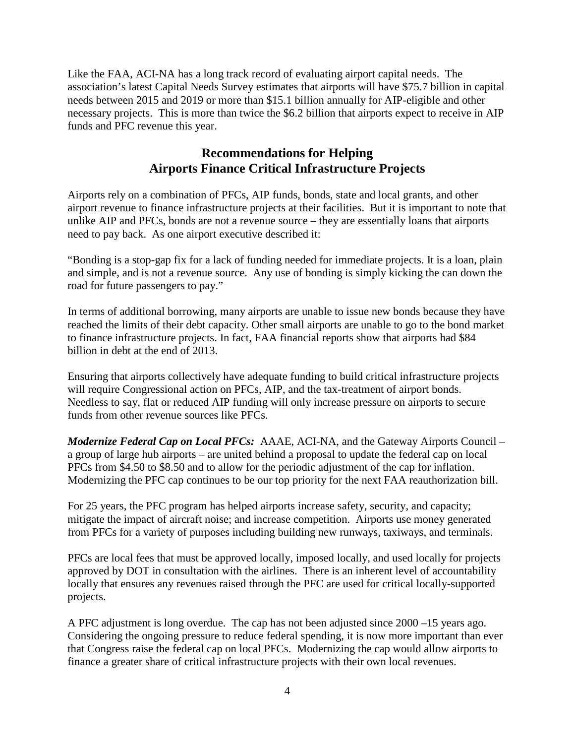Like the FAA, ACI-NA has a long track record of evaluating airport capital needs. The association's latest Capital Needs Survey estimates that airports will have \$75.7 billion in capital needs between 2015 and 2019 or more than \$15.1 billion annually for AIP-eligible and other necessary projects. This is more than twice the \$6.2 billion that airports expect to receive in AIP funds and PFC revenue this year.

# **Recommendations for Helping Airports Finance Critical Infrastructure Projects**

Airports rely on a combination of PFCs, AIP funds, bonds, state and local grants, and other airport revenue to finance infrastructure projects at their facilities. But it is important to note that unlike AIP and PFCs, bonds are not a revenue source – they are essentially loans that airports need to pay back. As one airport executive described it:

"Bonding is a stop-gap fix for a lack of funding needed for immediate projects. It is a loan, plain and simple, and is not a revenue source. Any use of bonding is simply kicking the can down the road for future passengers to pay."

In terms of additional borrowing, many airports are unable to issue new bonds because they have reached the limits of their debt capacity. Other small airports are unable to go to the bond market to finance infrastructure projects. In fact, FAA financial reports show that airports had \$84 billion in debt at the end of 2013.

Ensuring that airports collectively have adequate funding to build critical infrastructure projects will require Congressional action on PFCs, AIP, and the tax-treatment of airport bonds. Needless to say, flat or reduced AIP funding will only increase pressure on airports to secure funds from other revenue sources like PFCs.

*Modernize Federal Cap on Local PFCs:* AAAE, ACI-NA, and the Gateway Airports Council – a group of large hub airports – are united behind a proposal to update the federal cap on local PFCs from \$4.50 to \$8.50 and to allow for the periodic adjustment of the cap for inflation. Modernizing the PFC cap continues to be our top priority for the next FAA reauthorization bill.

For 25 years, the PFC program has helped airports increase safety, security, and capacity; mitigate the impact of aircraft noise; and increase competition. Airports use money generated from PFCs for a variety of purposes including building new runways, taxiways, and terminals.

PFCs are local fees that must be approved locally, imposed locally, and used locally for projects approved by DOT in consultation with the airlines. There is an inherent level of accountability locally that ensures any revenues raised through the PFC are used for critical locally-supported projects.

A PFC adjustment is long overdue. The cap has not been adjusted since 2000 –15 years ago. Considering the ongoing pressure to reduce federal spending, it is now more important than ever that Congress raise the federal cap on local PFCs. Modernizing the cap would allow airports to finance a greater share of critical infrastructure projects with their own local revenues.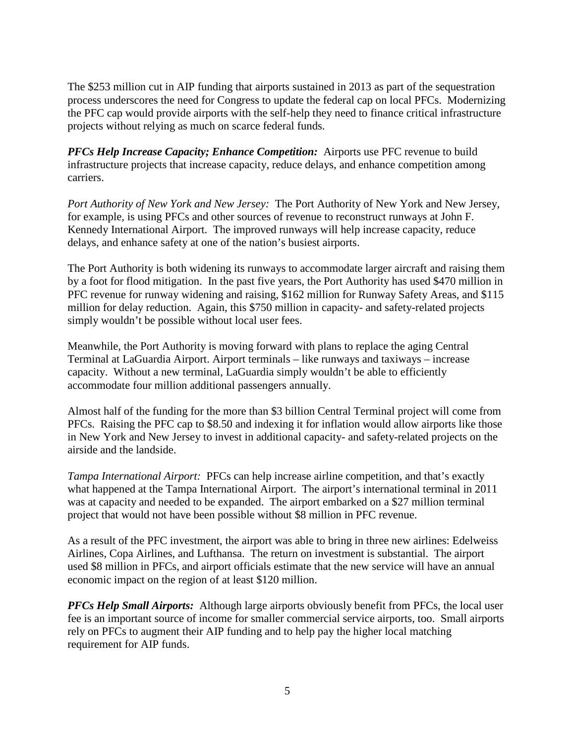The \$253 million cut in AIP funding that airports sustained in 2013 as part of the sequestration process underscores the need for Congress to update the federal cap on local PFCs. Modernizing the PFC cap would provide airports with the self-help they need to finance critical infrastructure projects without relying as much on scarce federal funds.

*PFCs Help Increase Capacity; Enhance Competition:* Airports use PFC revenue to build infrastructure projects that increase capacity, reduce delays, and enhance competition among carriers.

*Port Authority of New York and New Jersey:* The Port Authority of New York and New Jersey, for example, is using PFCs and other sources of revenue to reconstruct runways at John F. Kennedy International Airport. The improved runways will help increase capacity, reduce delays, and enhance safety at one of the nation's busiest airports.

The Port Authority is both widening its runways to accommodate larger aircraft and raising them by a foot for flood mitigation. In the past five years, the Port Authority has used \$470 million in PFC revenue for runway widening and raising, \$162 million for Runway Safety Areas, and \$115 million for delay reduction. Again, this \$750 million in capacity- and safety-related projects simply wouldn't be possible without local user fees.

Meanwhile, the Port Authority is moving forward with plans to replace the aging Central Terminal at LaGuardia Airport. Airport terminals – like runways and taxiways – increase capacity. Without a new terminal, LaGuardia simply wouldn't be able to efficiently accommodate four million additional passengers annually.

Almost half of the funding for the more than \$3 billion Central Terminal project will come from PFCs. Raising the PFC cap to \$8.50 and indexing it for inflation would allow airports like those in New York and New Jersey to invest in additional capacity- and safety-related projects on the airside and the landside.

*Tampa International Airport:* PFCs can help increase airline competition, and that's exactly what happened at the Tampa International Airport. The airport's international terminal in 2011 was at capacity and needed to be expanded. The airport embarked on a \$27 million terminal project that would not have been possible without \$8 million in PFC revenue.

As a result of the PFC investment, the airport was able to bring in three new airlines: Edelweiss Airlines, Copa Airlines, and Lufthansa. The return on investment is substantial. The airport used \$8 million in PFCs, and airport officials estimate that the new service will have an annual economic impact on the region of at least \$120 million.

*PFCs Help Small Airports:* Although large airports obviously benefit from PFCs, the local user fee is an important source of income for smaller commercial service airports, too. Small airports rely on PFCs to augment their AIP funding and to help pay the higher local matching requirement for AIP funds.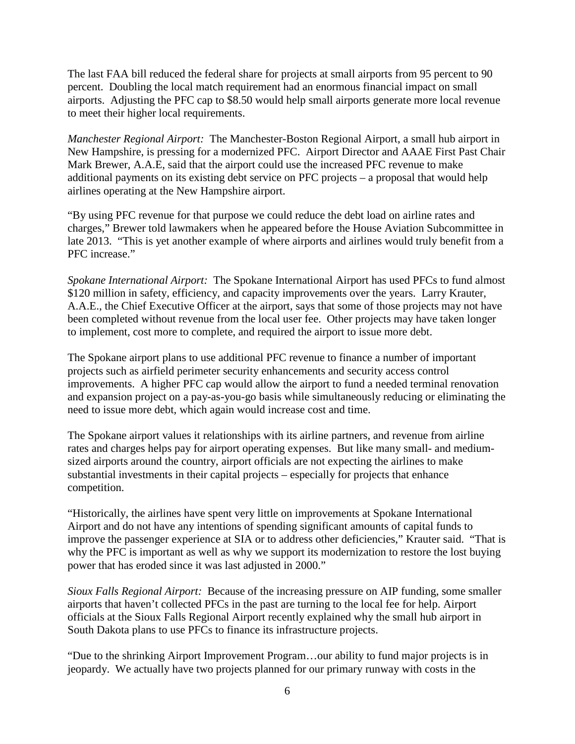The last FAA bill reduced the federal share for projects at small airports from 95 percent to 90 percent. Doubling the local match requirement had an enormous financial impact on small airports. Adjusting the PFC cap to \$8.50 would help small airports generate more local revenue to meet their higher local requirements.

*Manchester Regional Airport:* The Manchester-Boston Regional Airport, a small hub airport in New Hampshire, is pressing for a modernized PFC. Airport Director and AAAE First Past Chair Mark Brewer, A.A.E, said that the airport could use the increased PFC revenue to make additional payments on its existing debt service on PFC projects – a proposal that would help airlines operating at the New Hampshire airport.

"By using PFC revenue for that purpose we could reduce the debt load on airline rates and charges," Brewer told lawmakers when he appeared before the House Aviation Subcommittee in late 2013. "This is yet another example of where airports and airlines would truly benefit from a PFC increase."

*Spokane International Airport:* The Spokane International Airport has used PFCs to fund almost \$120 million in safety, efficiency, and capacity improvements over the years. Larry Krauter, A.A.E., the Chief Executive Officer at the airport, says that some of those projects may not have been completed without revenue from the local user fee. Other projects may have taken longer to implement, cost more to complete, and required the airport to issue more debt.

The Spokane airport plans to use additional PFC revenue to finance a number of important projects such as airfield perimeter security enhancements and security access control improvements. A higher PFC cap would allow the airport to fund a needed terminal renovation and expansion project on a pay-as-you-go basis while simultaneously reducing or eliminating the need to issue more debt, which again would increase cost and time.

The Spokane airport values it relationships with its airline partners, and revenue from airline rates and charges helps pay for airport operating expenses. But like many small- and mediumsized airports around the country, airport officials are not expecting the airlines to make substantial investments in their capital projects – especially for projects that enhance competition.

"Historically, the airlines have spent very little on improvements at Spokane International Airport and do not have any intentions of spending significant amounts of capital funds to improve the passenger experience at SIA or to address other deficiencies," Krauter said. "That is why the PFC is important as well as why we support its modernization to restore the lost buying power that has eroded since it was last adjusted in 2000."

*Sioux Falls Regional Airport:* Because of the increasing pressure on AIP funding, some smaller airports that haven't collected PFCs in the past are turning to the local fee for help. Airport officials at the Sioux Falls Regional Airport recently explained why the small hub airport in South Dakota plans to use PFCs to finance its infrastructure projects.

"Due to the shrinking Airport Improvement Program…our ability to fund major projects is in jeopardy. We actually have two projects planned for our primary runway with costs in the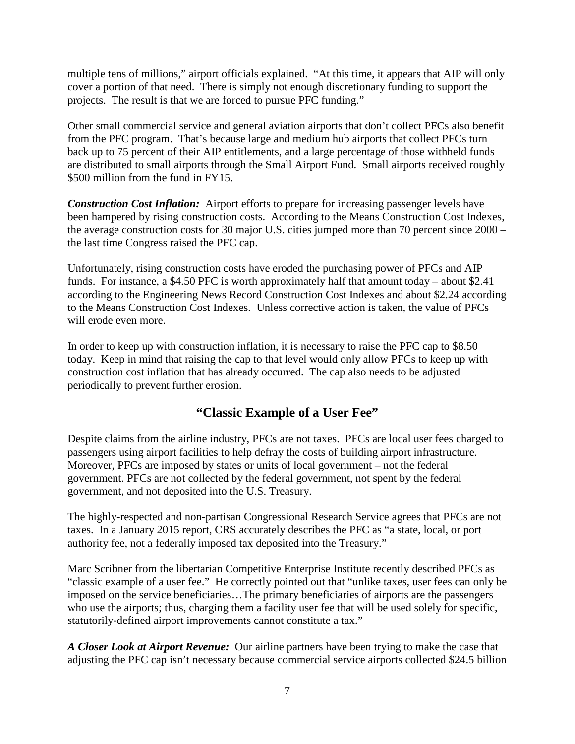multiple tens of millions," airport officials explained. "At this time, it appears that AIP will only cover a portion of that need. There is simply not enough discretionary funding to support the projects. The result is that we are forced to pursue PFC funding."

Other small commercial service and general aviation airports that don't collect PFCs also benefit from the PFC program. That's because large and medium hub airports that collect PFCs turn back up to 75 percent of their AIP entitlements, and a large percentage of those withheld funds are distributed to small airports through the Small Airport Fund. Small airports received roughly \$500 million from the fund in FY15.

*Construction Cost Inflation:* Airport efforts to prepare for increasing passenger levels have been hampered by rising construction costs. According to the Means Construction Cost Indexes, the average construction costs for 30 major U.S. cities jumped more than 70 percent since 2000 – the last time Congress raised the PFC cap.

Unfortunately, rising construction costs have eroded the purchasing power of PFCs and AIP funds. For instance, a \$4.50 PFC is worth approximately half that amount today – about \$2.41 according to the Engineering News Record Construction Cost Indexes and about \$2.24 according to the Means Construction Cost Indexes. Unless corrective action is taken, the value of PFCs will erode even more.

In order to keep up with construction inflation, it is necessary to raise the PFC cap to \$8.50 today. Keep in mind that raising the cap to that level would only allow PFCs to keep up with construction cost inflation that has already occurred. The cap also needs to be adjusted periodically to prevent further erosion.

# **"Classic Example of a User Fee"**

Despite claims from the airline industry, PFCs are not taxes. PFCs are local user fees charged to passengers using airport facilities to help defray the costs of building airport infrastructure. Moreover, PFCs are imposed by states or units of local government – not the federal government. PFCs are not collected by the federal government, not spent by the federal government, and not deposited into the U.S. Treasury.

The highly-respected and non-partisan Congressional Research Service agrees that PFCs are not taxes. In a January 2015 report, CRS accurately describes the PFC as "a state, local, or port authority fee, not a federally imposed tax deposited into the Treasury."

Marc Scribner from the libertarian Competitive Enterprise Institute recently described PFCs as "classic example of a user fee." He correctly pointed out that "unlike taxes, user fees can only be imposed on the service beneficiaries…The primary beneficiaries of airports are the passengers who use the airports; thus, charging them a facility user fee that will be used solely for specific, statutorily-defined airport improvements cannot constitute a tax."

*A Closer Look at Airport Revenue:* Our airline partners have been trying to make the case that adjusting the PFC cap isn't necessary because commercial service airports collected \$24.5 billion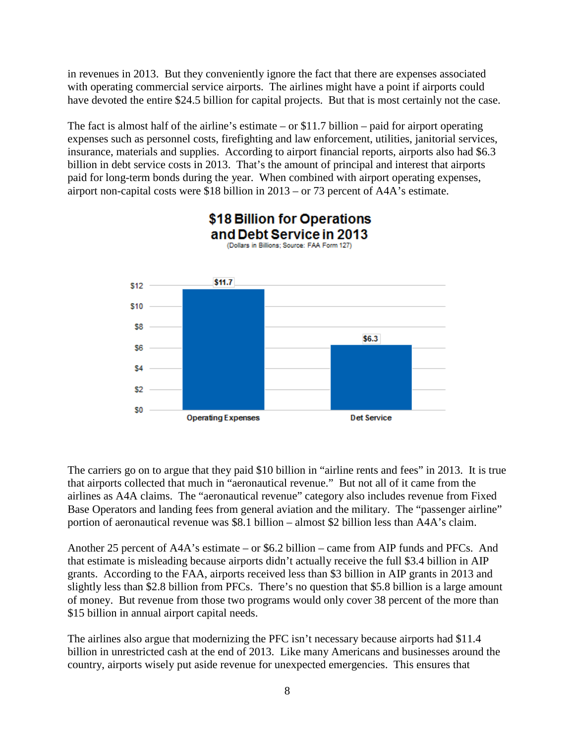in revenues in 2013. But they conveniently ignore the fact that there are expenses associated with operating commercial service airports. The airlines might have a point if airports could have devoted the entire \$24.5 billion for capital projects. But that is most certainly not the case.

The fact is almost half of the airline's estimate – or  $$11.7$  billion – paid for airport operating expenses such as personnel costs, firefighting and law enforcement, utilities, janitorial services, insurance, materials and supplies. According to airport financial reports, airports also had \$6.3 billion in debt service costs in 2013. That's the amount of principal and interest that airports paid for long-term bonds during the year. When combined with airport operating expenses, airport non-capital costs were \$18 billion in 2013 – or 73 percent of A4A's estimate.



The carriers go on to argue that they paid \$10 billion in "airline rents and fees" in 2013. It is true that airports collected that much in "aeronautical revenue." But not all of it came from the airlines as A4A claims. The "aeronautical revenue" category also includes revenue from Fixed Base Operators and landing fees from general aviation and the military. The "passenger airline" portion of aeronautical revenue was \$8.1 billion – almost \$2 billion less than A4A's claim.

Another 25 percent of A4A's estimate – or \$6.2 billion – came from AIP funds and PFCs. And that estimate is misleading because airports didn't actually receive the full \$3.4 billion in AIP grants. According to the FAA, airports received less than \$3 billion in AIP grants in 2013 and slightly less than \$2.8 billion from PFCs. There's no question that \$5.8 billion is a large amount of money. But revenue from those two programs would only cover 38 percent of the more than \$15 billion in annual airport capital needs.

The airlines also argue that modernizing the PFC isn't necessary because airports had \$11.4 billion in unrestricted cash at the end of 2013. Like many Americans and businesses around the country, airports wisely put aside revenue for unexpected emergencies. This ensures that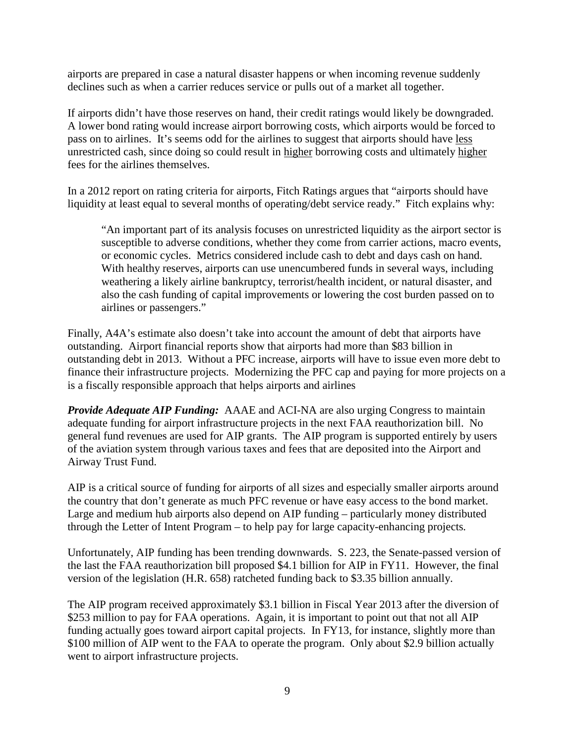airports are prepared in case a natural disaster happens or when incoming revenue suddenly declines such as when a carrier reduces service or pulls out of a market all together.

If airports didn't have those reserves on hand, their credit ratings would likely be downgraded. A lower bond rating would increase airport borrowing costs, which airports would be forced to pass on to airlines. It's seems odd for the airlines to suggest that airports should have less unrestricted cash, since doing so could result in higher borrowing costs and ultimately higher fees for the airlines themselves.

In a 2012 report on rating criteria for airports, Fitch Ratings argues that "airports should have liquidity at least equal to several months of operating/debt service ready." Fitch explains why:

"An important part of its analysis focuses on unrestricted liquidity as the airport sector is susceptible to adverse conditions, whether they come from carrier actions, macro events, or economic cycles. Metrics considered include cash to debt and days cash on hand. With healthy reserves, airports can use unencumbered funds in several ways, including weathering a likely airline bankruptcy, terrorist/health incident, or natural disaster, and also the cash funding of capital improvements or lowering the cost burden passed on to airlines or passengers."

Finally, A4A's estimate also doesn't take into account the amount of debt that airports have outstanding. Airport financial reports show that airports had more than \$83 billion in outstanding debt in 2013. Without a PFC increase, airports will have to issue even more debt to finance their infrastructure projects. Modernizing the PFC cap and paying for more projects on a is a fiscally responsible approach that helps airports and airlines

*Provide Adequate AIP Funding:* AAAE and ACI-NA are also urging Congress to maintain adequate funding for airport infrastructure projects in the next FAA reauthorization bill. No general fund revenues are used for AIP grants. The AIP program is supported entirely by users of the aviation system through various taxes and fees that are deposited into the Airport and Airway Trust Fund.

AIP is a critical source of funding for airports of all sizes and especially smaller airports around the country that don't generate as much PFC revenue or have easy access to the bond market. Large and medium hub airports also depend on AIP funding – particularly money distributed through the Letter of Intent Program – to help pay for large capacity-enhancing projects*.* 

Unfortunately, AIP funding has been trending downwards. S. 223, the Senate-passed version of the last the FAA reauthorization bill proposed \$4.1 billion for AIP in FY11. However, the final version of the legislation (H.R. 658) ratcheted funding back to \$3.35 billion annually.

The AIP program received approximately \$3.1 billion in Fiscal Year 2013 after the diversion of \$253 million to pay for FAA operations. Again, it is important to point out that not all AIP funding actually goes toward airport capital projects. In FY13, for instance, slightly more than \$100 million of AIP went to the FAA to operate the program. Only about \$2.9 billion actually went to airport infrastructure projects.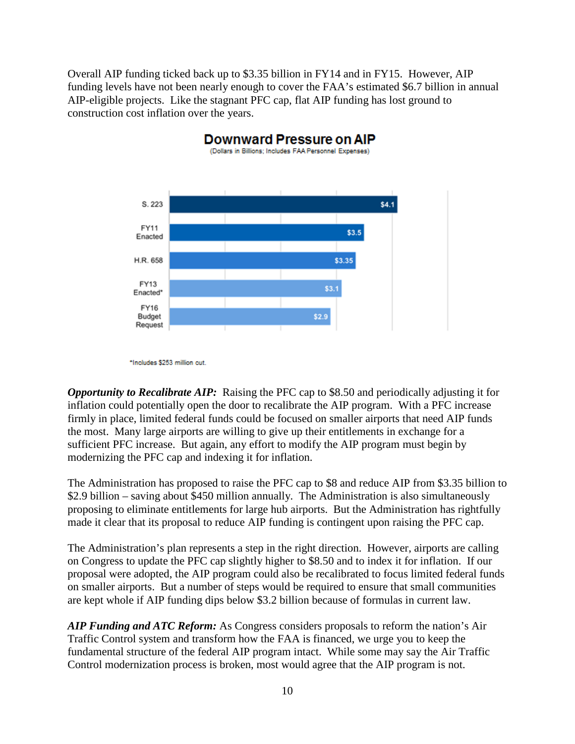Overall AIP funding ticked back up to \$3.35 billion in FY14 and in FY15. However, AIP funding levels have not been nearly enough to cover the FAA's estimated \$6.7 billion in annual AIP-eligible projects. Like the stagnant PFC cap, flat AIP funding has lost ground to construction cost inflation over the years.



<sup>\*</sup>Includes \$253 million cut.

*Opportunity to Recalibrate AIP:* Raising the PFC cap to \$8.50 and periodically adjusting it for inflation could potentially open the door to recalibrate the AIP program. With a PFC increase firmly in place, limited federal funds could be focused on smaller airports that need AIP funds the most. Many large airports are willing to give up their entitlements in exchange for a sufficient PFC increase. But again, any effort to modify the AIP program must begin by modernizing the PFC cap and indexing it for inflation.

The Administration has proposed to raise the PFC cap to \$8 and reduce AIP from \$3.35 billion to \$2.9 billion – saving about \$450 million annually. The Administration is also simultaneously proposing to eliminate entitlements for large hub airports. But the Administration has rightfully made it clear that its proposal to reduce AIP funding is contingent upon raising the PFC cap.

The Administration's plan represents a step in the right direction. However, airports are calling on Congress to update the PFC cap slightly higher to \$8.50 and to index it for inflation. If our proposal were adopted, the AIP program could also be recalibrated to focus limited federal funds on smaller airports. But a number of steps would be required to ensure that small communities are kept whole if AIP funding dips below \$3.2 billion because of formulas in current law.

*AIP Funding and ATC Reform:* As Congress considers proposals to reform the nation's Air Traffic Control system and transform how the FAA is financed, we urge you to keep the fundamental structure of the federal AIP program intact. While some may say the Air Traffic Control modernization process is broken, most would agree that the AIP program is not.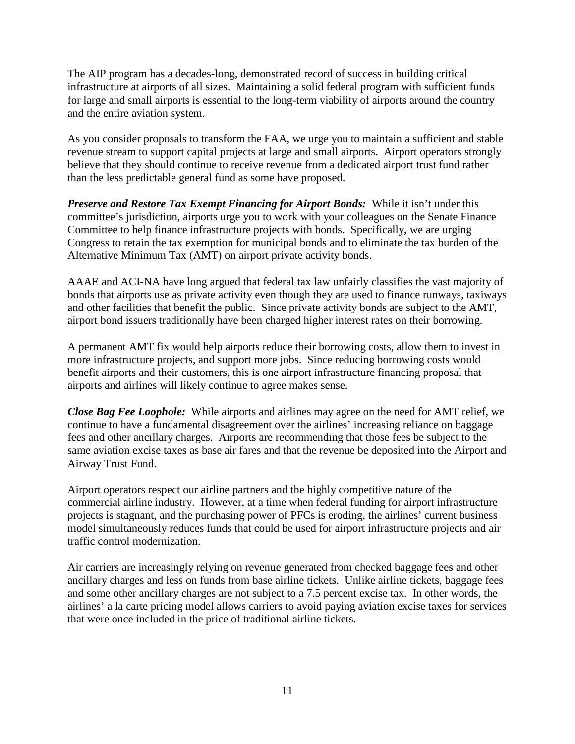The AIP program has a decades-long, demonstrated record of success in building critical infrastructure at airports of all sizes. Maintaining a solid federal program with sufficient funds for large and small airports is essential to the long-term viability of airports around the country and the entire aviation system.

As you consider proposals to transform the FAA, we urge you to maintain a sufficient and stable revenue stream to support capital projects at large and small airports. Airport operators strongly believe that they should continue to receive revenue from a dedicated airport trust fund rather than the less predictable general fund as some have proposed.

*Preserve and Restore Tax Exempt Financing for Airport Bonds:* While it isn't under this committee's jurisdiction, airports urge you to work with your colleagues on the Senate Finance Committee to help finance infrastructure projects with bonds. Specifically, we are urging Congress to retain the tax exemption for municipal bonds and to eliminate the tax burden of the Alternative Minimum Tax (AMT) on airport private activity bonds.

AAAE and ACI-NA have long argued that federal tax law unfairly classifies the vast majority of bonds that airports use as private activity even though they are used to finance runways, taxiways and other facilities that benefit the public. Since private activity bonds are subject to the AMT, airport bond issuers traditionally have been charged higher interest rates on their borrowing.

A permanent AMT fix would help airports reduce their borrowing costs, allow them to invest in more infrastructure projects, and support more jobs. Since reducing borrowing costs would benefit airports and their customers, this is one airport infrastructure financing proposal that airports and airlines will likely continue to agree makes sense.

*Close Bag Fee Loophole:* While airports and airlines may agree on the need for AMT relief, we continue to have a fundamental disagreement over the airlines' increasing reliance on baggage fees and other ancillary charges. Airports are recommending that those fees be subject to the same aviation excise taxes as base air fares and that the revenue be deposited into the Airport and Airway Trust Fund.

Airport operators respect our airline partners and the highly competitive nature of the commercial airline industry. However, at a time when federal funding for airport infrastructure projects is stagnant, and the purchasing power of PFCs is eroding, the airlines' current business model simultaneously reduces funds that could be used for airport infrastructure projects and air traffic control modernization.

Air carriers are increasingly relying on revenue generated from checked baggage fees and other ancillary charges and less on funds from base airline tickets. Unlike airline tickets, baggage fees and some other ancillary charges are not subject to a 7.5 percent excise tax. In other words, the airlines' a la carte pricing model allows carriers to avoid paying aviation excise taxes for services that were once included in the price of traditional airline tickets.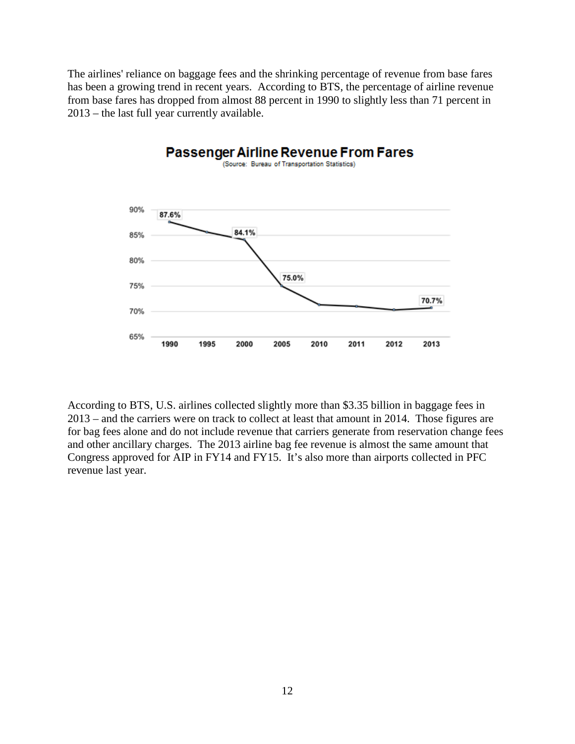The airlines' reliance on baggage fees and the shrinking percentage of revenue from base fares has been a growing trend in recent years. According to BTS, the percentage of airline revenue from base fares has dropped from almost 88 percent in 1990 to slightly less than 71 percent in 2013 – the last full year currently available.



According to BTS, U.S. airlines collected slightly more than \$3.35 billion in baggage fees in 2013 – and the carriers were on track to collect at least that amount in 2014. Those figures are for bag fees alone and do not include revenue that carriers generate from reservation change fees and other ancillary charges. The 2013 airline bag fee revenue is almost the same amount that Congress approved for AIP in FY14 and FY15. It's also more than airports collected in PFC revenue last year.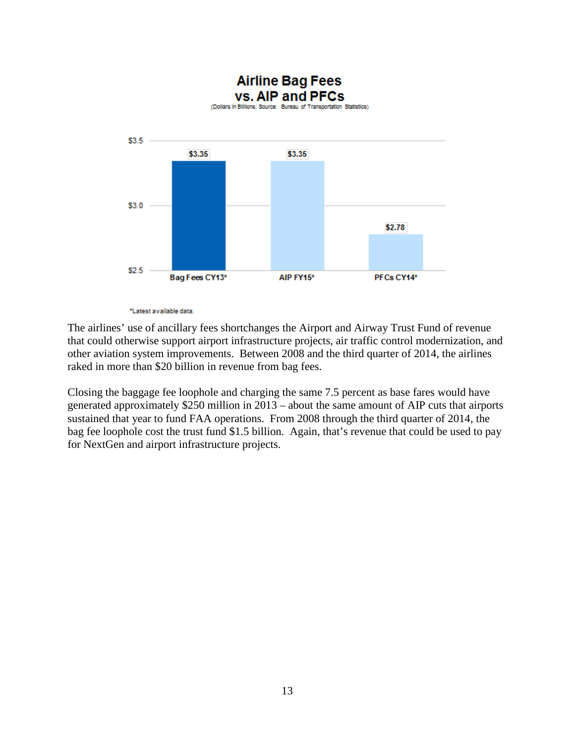

\*Latest available data.

The airlines' use of ancillary fees shortchanges the Airport and Airway Trust Fund of revenue that could otherwise support airport infrastructure projects, air traffic control modernization, and other aviation system improvements. Between 2008 and the third quarter of 2014, the airlines raked in more than \$20 billion in revenue from bag fees.

Closing the baggage fee loophole and charging the same 7.5 percent as base fares would have generated approximately \$250 million in 2013 – about the same amount of AIP cuts that airports sustained that year to fund FAA operations. From 2008 through the third quarter of 2014, the bag fee loophole cost the trust fund \$1.5 billion. Again, that's revenue that could be used to pay for NextGen and airport infrastructure projects.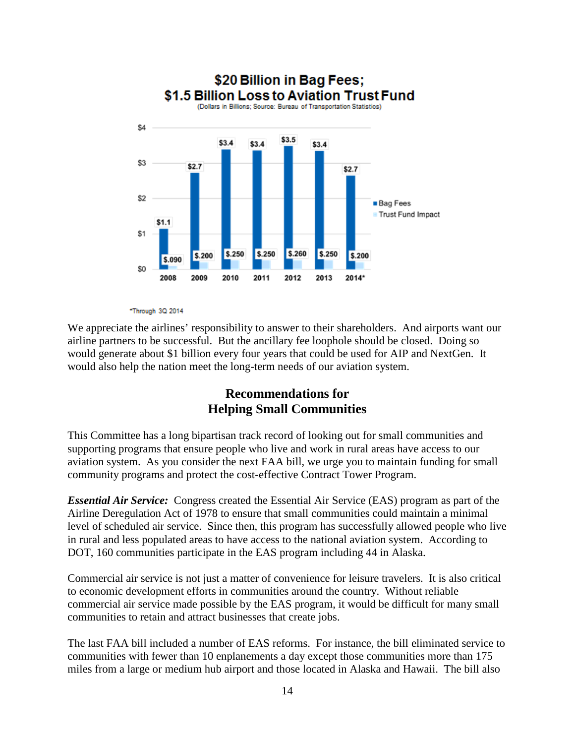

#### \*Through 3Q 2014

We appreciate the airlines' responsibility to answer to their shareholders. And airports want our airline partners to be successful. But the ancillary fee loophole should be closed. Doing so would generate about \$1 billion every four years that could be used for AIP and NextGen. It would also help the nation meet the long-term needs of our aviation system.

## **Recommendations for Helping Small Communities**

This Committee has a long bipartisan track record of looking out for small communities and supporting programs that ensure people who live and work in rural areas have access to our aviation system. As you consider the next FAA bill, we urge you to maintain funding for small community programs and protect the cost-effective Contract Tower Program.

*Essential Air Service:* Congress created the Essential Air Service (EAS) program as part of the Airline Deregulation Act of 1978 to ensure that small communities could maintain a minimal level of scheduled air service. Since then, this program has successfully allowed people who live in rural and less populated areas to have access to the national aviation system. According to DOT, 160 communities participate in the EAS program including 44 in Alaska.

Commercial air service is not just a matter of convenience for leisure travelers. It is also critical to economic development efforts in communities around the country. Without reliable commercial air service made possible by the EAS program, it would be difficult for many small communities to retain and attract businesses that create jobs.

The last FAA bill included a number of EAS reforms. For instance, the bill eliminated service to communities with fewer than 10 enplanements a day except those communities more than 175 miles from a large or medium hub airport and those located in Alaska and Hawaii. The bill also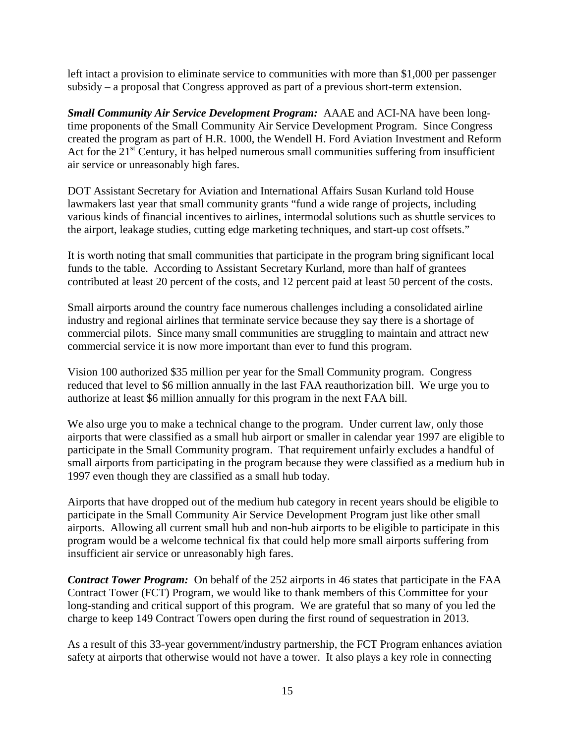left intact a provision to eliminate service to communities with more than \$1,000 per passenger subsidy – a proposal that Congress approved as part of a previous short-term extension.

*Small Community Air Service Development Program:* AAAE and ACI-NA have been longtime proponents of the Small Community Air Service Development Program. Since Congress created the program as part of H.R. 1000, the Wendell H. Ford Aviation Investment and Reform Act for the  $21<sup>st</sup>$  Century, it has helped numerous small communities suffering from insufficient air service or unreasonably high fares.

DOT Assistant Secretary for Aviation and International Affairs Susan Kurland told House lawmakers last year that small community grants "fund a wide range of projects, including various kinds of financial incentives to airlines, intermodal solutions such as shuttle services to the airport, leakage studies, cutting edge marketing techniques, and start-up cost offsets."

It is worth noting that small communities that participate in the program bring significant local funds to the table. According to Assistant Secretary Kurland, more than half of grantees contributed at least 20 percent of the costs, and 12 percent paid at least 50 percent of the costs.

Small airports around the country face numerous challenges including a consolidated airline industry and regional airlines that terminate service because they say there is a shortage of commercial pilots. Since many small communities are struggling to maintain and attract new commercial service it is now more important than ever to fund this program.

Vision 100 authorized \$35 million per year for the Small Community program. Congress reduced that level to \$6 million annually in the last FAA reauthorization bill. We urge you to authorize at least \$6 million annually for this program in the next FAA bill.

We also urge you to make a technical change to the program. Under current law, only those airports that were classified as a small hub airport or smaller in calendar year 1997 are eligible to participate in the Small Community program. That requirement unfairly excludes a handful of small airports from participating in the program because they were classified as a medium hub in 1997 even though they are classified as a small hub today.

Airports that have dropped out of the medium hub category in recent years should be eligible to participate in the Small Community Air Service Development Program just like other small airports. Allowing all current small hub and non-hub airports to be eligible to participate in this program would be a welcome technical fix that could help more small airports suffering from insufficient air service or unreasonably high fares.

*Contract Tower Program:* On behalf of the 252 airports in 46 states that participate in the FAA Contract Tower (FCT) Program, we would like to thank members of this Committee for your long-standing and critical support of this program. We are grateful that so many of you led the charge to keep 149 Contract Towers open during the first round of sequestration in 2013.

As a result of this 33-year government/industry partnership, the FCT Program enhances aviation safety at airports that otherwise would not have a tower. It also plays a key role in connecting